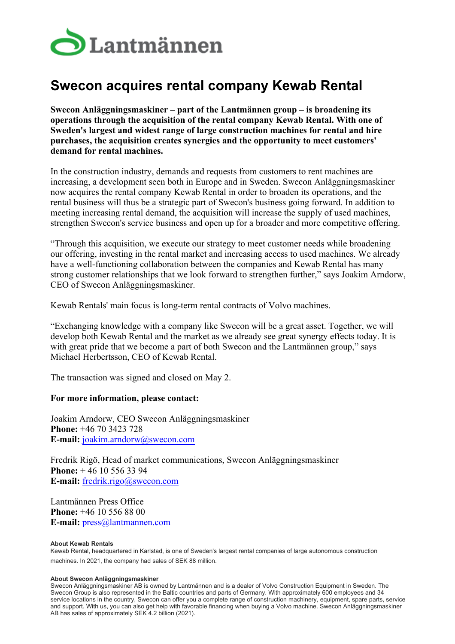

# **Swecon acquires rental company Kewab Rental**

**Swecon Anläggningsmaskiner – part of the Lantmännen group – is broadening its operations through the acquisition of the rental company Kewab Rental. With one of Sweden's largest and widest range of large construction machines for rental and hire purchases, the acquisition creates synergies and the opportunity to meet customers' demand for rental machines.**

In the construction industry, demands and requests from customers to rent machines are increasing, a development seen both in Europe and in Sweden. Swecon Anläggningsmaskiner now acquires the rental company Kewab Rental in order to broaden its operations, and the rental business will thus be a strategic part of Swecon's business going forward. In addition to meeting increasing rental demand, the acquisition will increase the supply of used machines, strengthen Swecon's service business and open up for a broader and more competitive offering.

"Through this acquisition, we execute our strategy to meet customer needs while broadening our offering, investing in the rental market and increasing access to used machines. We already have a well-functioning collaboration between the companies and Kewab Rental has many strong customer relationships that we look forward to strengthen further," says Joakim Arndorw, CEO of Swecon Anläggningsmaskiner.

Kewab Rentals' main focus is long-term rental contracts of Volvo machines.

"Exchanging knowledge with a company like Swecon will be a great asset. Together, we will develop both Kewab Rental and the market as we already see great synergy effects today. It is with great pride that we become a part of both Swecon and the Lantmännen group," says Michael Herbertsson, CEO of Kewab Rental.

The transaction was signed and closed on May 2.

## **For more information, please contact:**

Joakim Arndorw, CEO Swecon Anläggningsmaskiner **Phone:** +46 70 3423 728 **E-mail:** [joakim.arndorw@swecon.com](mailto:joakim.arndorw@swecon.com)

Fredrik Rigö, Head of market communications, Swecon Anläggningsmaskiner **Phone:** + 46 10 556 33 94 **E-mail:** [fredrik.rigo@swecon.com](mailto:fredrik.rigo@swecon.com)

Lantmännen Press Office **Phone:** +46 10 556 88 00 **E-mail:** [press@lantmannen.com](mailto:press@lantmannen.com)

### **About Kewab Rentals**

Kewab Rental, headquartered in Karlstad, is one of Sweden's largest rental companies of large autonomous construction machines. In 2021, the company had sales of SEK 88 million.

### **About Swecon Anläggningsmaskiner**

Swecon Anläggningsmaskiner AB is owned by Lantmännen and is a dealer of Volvo Construction Equipment in Sweden. The Swecon Group is also represented in the Baltic countries and parts of Germany. With approximately 600 employees and 34 service locations in the country, Swecon can offer you a complete range of construction machinery, equipment, spare parts, service and support. With us, you can also get help with favorable financing when buying a Volvo machine. Swecon Anläggningsmaskiner AB has sales of approximately SEK 4.2 billion (2021).